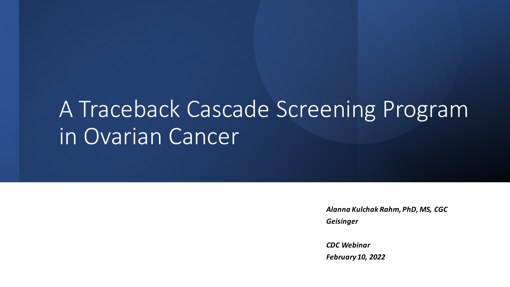# A Traceback Cascade Screening Program in Ovarian Cancer

*Alanna Kulchak Rahm, PhD, MS, CGC Geisinger*

*CDC Webinar February 10, 2022*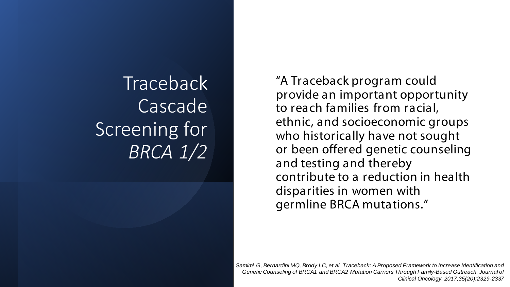**Traceback** Cascade Screening for *BRCA 1/2*

"A Traceback program could provide an important opportunity to reach families from racial, ethnic, and socioeconomic groups who historically have not sought or been offered genetic counseling and testing and thereby contribute to a reduction in health disparities in women with germline BRCA mutations."

*Samimi G, Bernardini MQ, Brody LC, et al. Traceback: A Proposed Framework to Increase Identification and Genetic Counseling of BRCA1 and BRCA2 Mutation Carriers Through Family-Based Outreach. Journal of Clinical Oncology. 2017;35(20):2329-2337*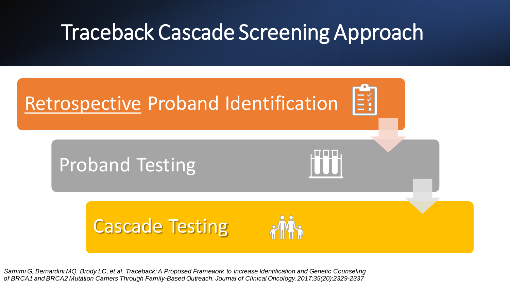### Traceback Cascade Screening Approach



*Samimi G, Bernardini MQ, Brody LC, et al. Traceback: A Proposed Framework to Increase Identification and Genetic Counseling of BRCA1 and BRCA2 Mutation Carriers Through Family-Based Outreach. Journal of Clinical Oncology. 2017;35(20):2329-2337*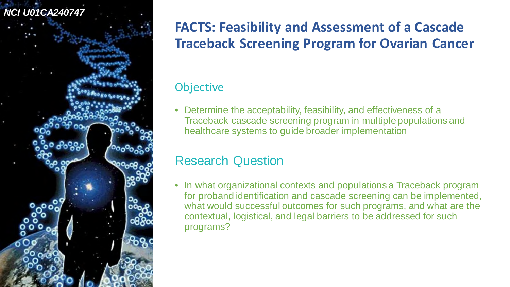

#### **FACTS: Feasibility and Assessment of a Cascade Traceback Screening Program for Ovarian Cancer**

#### **Objective**

• Determine the acceptability, feasibility, and effectiveness of a Traceback cascade screening program in multiple populations and healthcare systems to guide broader implementation

#### Research Question

• In what organizational contexts and populations a Traceback program for proband identification and cascade screening can be implemented, what would successful outcomes for such programs, and what are the contextual, logistical, and legal barriers to be addressed for such programs?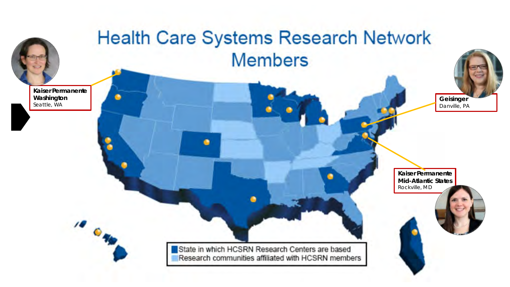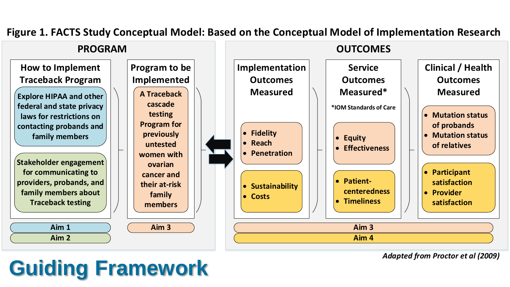

#### **Figure 1. FACTS Study Conceptual Model: Based on the Conceptual Model of Implementation Research**

### **Guiding Framework**

*Adapted from Proctor et al (2009)*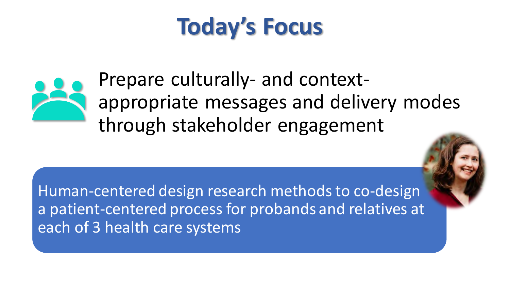# **Today's Focus**



Prepare culturally- and contextappropriate messages and delivery modes through stakeholder engagement

Human-centered design research methods to co-design a patient-centered process for probands and relatives at each of 3 health care systems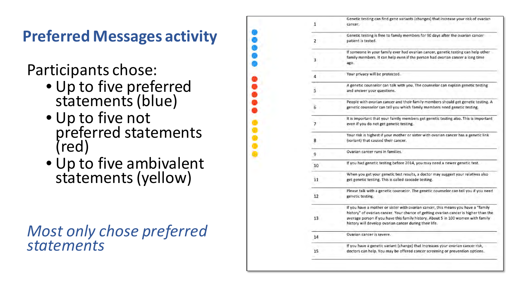**Preferred Messages activity**

Participants chose:

- Up to five preferred statements (blue)
- Up to five not preferred statements (red)
- Up to five ambivalent statements (yellow)

#### *Most only chose preferred statements*

| 1                        | Genetic testing can find gene variants (changes) that increase your risk of ovarian<br>cancer.                                                                                                                                                                                                                          |  |  |  |  |
|--------------------------|-------------------------------------------------------------------------------------------------------------------------------------------------------------------------------------------------------------------------------------------------------------------------------------------------------------------------|--|--|--|--|
| $2^{\circ}$              | Genetic testing is free to family members for 90 days after the ovarian cancer<br>patient is tested.<br>If someone in your family ever had ovarian cancer, genetic testing can help other<br>family members. It can help even if the person had ovarian cancer a long time<br>ago.                                      |  |  |  |  |
| 3                        |                                                                                                                                                                                                                                                                                                                         |  |  |  |  |
| 4                        | Your privacy will be protected.                                                                                                                                                                                                                                                                                         |  |  |  |  |
| 5                        | A genetic counselor can talk with you. The counselor can explain genetic testing<br>and answer your questions.                                                                                                                                                                                                          |  |  |  |  |
| $6^{\circ}$              | People with ovarian cancer and their family members should get genetic testing. A<br>genetic counselor can tell you which family members need genetic testing.                                                                                                                                                          |  |  |  |  |
| $\overline{\phantom{a}}$ | It is important that your family members get genetic testing also. This is important<br>even if you do not get genetic testing.                                                                                                                                                                                         |  |  |  |  |
| 8                        | Your risk is highest if your mother or sister with ovarian cancer has a genetic link<br>(variant) that caused their cancer.                                                                                                                                                                                             |  |  |  |  |
| 9                        | Ovarian cancer runs in families.                                                                                                                                                                                                                                                                                        |  |  |  |  |
| 10                       | If you had genetic testing before 2014, you may need a newer genetic test.                                                                                                                                                                                                                                              |  |  |  |  |
| 11                       | When you get your genetic test results, a doctor may suggest your relatives also<br>get genetic testing. This is called cascade testing.                                                                                                                                                                                |  |  |  |  |
| 12                       | Please talk with a genetic counselor. The genetic counselor can tell you if you need<br>genetic testing.                                                                                                                                                                                                                |  |  |  |  |
| 13                       | If you have a mother or sister with ovarian cancer, this means you have a "family<br>history" of ovarian cancer. Your chance of getting ovarian cancer is higher than the<br>average person if you have this family history. About 5 in 100 women with family<br>history will develop ovarian cancer during their life. |  |  |  |  |
| 14                       | Ovarian cancer is severe.                                                                                                                                                                                                                                                                                               |  |  |  |  |
| 15                       | If you have a genetic variant (change) that increases your ovarian cancer risk,<br>doctors can help. You may be offered cancer screening or prevention options.                                                                                                                                                         |  |  |  |  |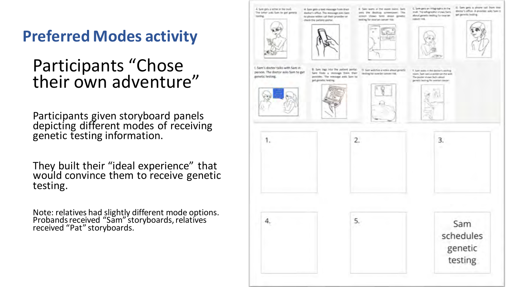**Preferred Modes activity**

### Participants "Chose their own adventure"

Participants given storyboard panels depicting different modes of receiving genetic testing information.

They built their "ideal experience" that would convince them to receive genetic testing.

Note: relatives had slightly different mode options. Probands received "Sam" storyboards, relatives received "Pat" storyboards.

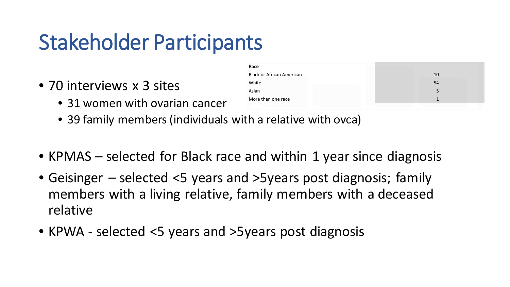### Stakeholder Participants

- 70 interviews x 3 sites
	- 31 women with ovarian cancer

| Race                             |    |
|----------------------------------|----|
| <b>Black or African American</b> | 10 |
| White                            | 54 |
| Asian                            |    |
| More than one race               |    |

- 39 family members (individuals with a relative with ovca)
- KPMAS selected for Black race and within 1 year since diagnosis
- Geisinger selected <5 years and >5years post diagnosis; family members with a living relative, family members with a deceased relative
- KPWA selected <5 years and >5years post diagnosis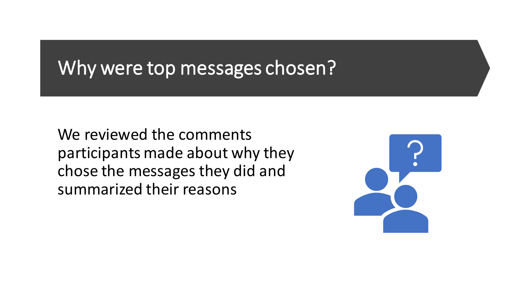### Why were top messages chosen?

We reviewed the comments participants made about why they chose the messages they did and summarized their reasons

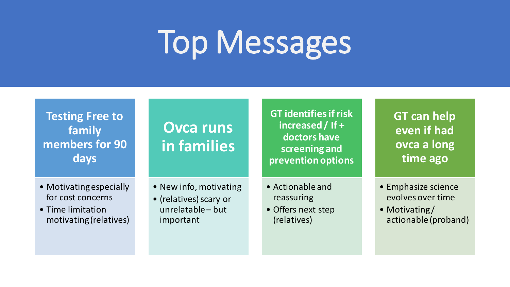# Top Messages

**Testing Free to family members for 90 days**

#### **Ovca runs in families**

**GT identifies if risk increased / If + doctors have screening and prevention options**

**GT can help even if had ovca a long time ago**

- Motivating especially for cost concerns
- Time limitation motivating (relatives)
- New info, motivating
- (relatives) scary or unrelatable – but important
- Actionable and reassuring
- Offers next step (relatives)
- Emphasize science evolves over time
- Motivating/ actionable (proband)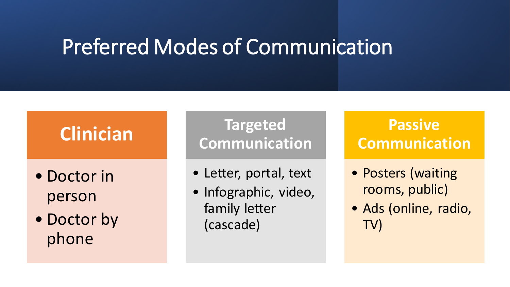### Preferred Modes of Communication

### **Clinician**

- Doctor in person
- Doctor by phone

**Targeted Communication**

- Letter, portal, text
- Infographic, video, family letter (cascade)

### **Passive Communication**

- Posters (waiting rooms, public)
- Ads (online, radio, TV)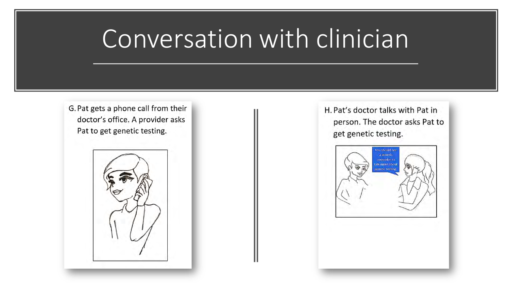# Conversation with clinician

G. Pat gets a phone call from their doctor's office. A provider asks Pat to get genetic testing.



H. Pat's doctor talks with Pat in person. The doctor asks Pat to get genetic testing.

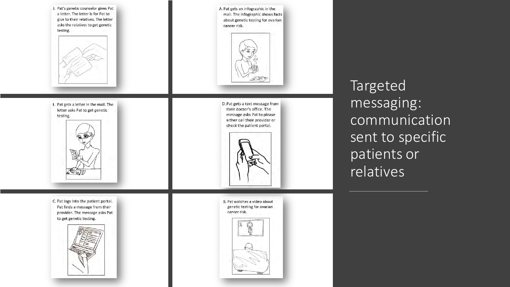



I. Pat gets a letter in the mail. The letter asks Pat to get genetic testing.



C. Pat logs into the patient portal. Pat finds a message from their provider. The message asks Pat to get genetic testing.



A. Pat gets an infographic in the mail. The infographic shows facts about genetic testing for ovarian cancer risk.



D. Pat gets a text message from their doctor's office. The message asks Pat to please either call their provider or check the patient portal.

B. Pat watches a video about genetic testing for ovarian cancer risk.



Targeted messaging: communication sent to specific patients or relatives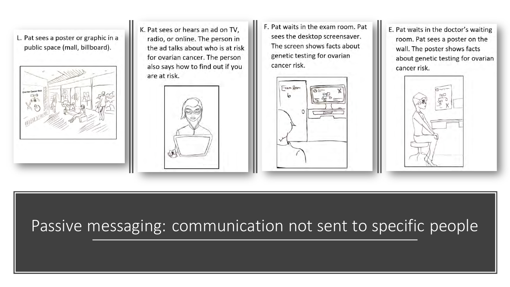L. Pat sees a poster or graphic in a public space (mall, billboard).



K. Pat sees or hears an ad on TV. radio, or online. The person in the ad talks about who is at risk for ovarian cancer. The person also says how to find out if you are at risk.



F. Pat waits in the exam room. Pat sees the desktop screensaver. The screen shows facts about genetic testing for ovarian cancer risk.



E. Pat waits in the doctor's waiting room. Pat sees a poster on the wall. The poster shows facts about genetic testing for ovarian cancer risk.



### Passive messaging: communication not sent to specific people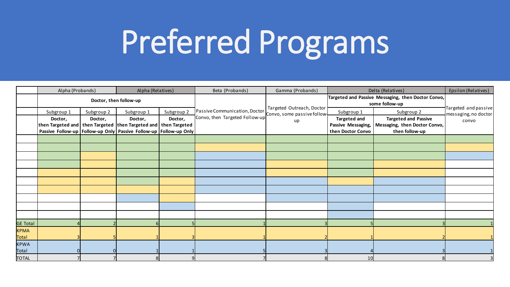# Preferred Programs

|                 | Alpha (Probands)       |            | Alpha (Relatives)                                                               |            | Beta (Probands)                | Gamma (Probands)                                                     |                     | Delta (Relatives)             | Epsilon (Relatives)                          |
|-----------------|------------------------|------------|---------------------------------------------------------------------------------|------------|--------------------------------|----------------------------------------------------------------------|---------------------|-------------------------------|----------------------------------------------|
|                 | Doctor, then follow-up |            |                                                                                 |            |                                | Targeted and Passive Messaging, then Doctor Convo,<br>some follow-up |                     |                               |                                              |
|                 | Subgroup 1             | Subgroup 2 | Subgroup <sub>1</sub>                                                           | Subgroup 2 | Passive Communication, Doctor  | Targeted Outreach, Doctor<br>Convo, some passive follow+             | Subgroup 1          | Subgroup 2                    | Targeted and passive<br>messaging, no doctor |
|                 | Doctor,                | Doctor,    | Doctor,                                                                         | Doctor,    | Convo, then Targeted Follow-up | up                                                                   | <b>Targeted and</b> | <b>Targeted and Passive</b>   | convo                                        |
|                 |                        |            | $ $ then Targeted and $ $ then Targeted $ $ then Targeted and $ $ then Targeted |            |                                |                                                                      | Passive Messaging,  | Messaging, then Doctor Convo, |                                              |
|                 |                        |            | Passive Follow-up   Follow-up Only   Passive Follow-up   Follow-up Only         |            |                                |                                                                      | then Doctor Convo   | then follow-up                |                                              |
|                 |                        |            |                                                                                 |            |                                |                                                                      |                     |                               |                                              |
|                 |                        |            |                                                                                 |            |                                |                                                                      |                     |                               |                                              |
|                 |                        |            |                                                                                 |            |                                |                                                                      |                     |                               |                                              |
|                 |                        |            |                                                                                 |            |                                |                                                                      |                     |                               |                                              |
|                 |                        |            |                                                                                 |            |                                |                                                                      |                     |                               |                                              |
|                 |                        |            |                                                                                 |            |                                |                                                                      |                     |                               |                                              |
|                 |                        |            |                                                                                 |            |                                |                                                                      |                     |                               |                                              |
|                 |                        |            |                                                                                 |            |                                |                                                                      |                     |                               |                                              |
|                 |                        |            |                                                                                 |            |                                |                                                                      |                     |                               |                                              |
|                 |                        |            |                                                                                 |            |                                |                                                                      |                     |                               |                                              |
| <b>GE Total</b> |                        |            |                                                                                 |            |                                |                                                                      |                     |                               |                                              |
| <b>KPMA</b>     |                        |            |                                                                                 |            |                                |                                                                      |                     |                               |                                              |
| Total           |                        |            |                                                                                 |            |                                |                                                                      |                     |                               |                                              |
| <b>KPWA</b>     |                        |            |                                                                                 |            |                                |                                                                      |                     |                               |                                              |
| Total           |                        |            |                                                                                 |            |                                |                                                                      |                     |                               |                                              |
| <b>TOTAL</b>    |                        |            |                                                                                 |            |                                |                                                                      | 10 <sup>1</sup>     |                               |                                              |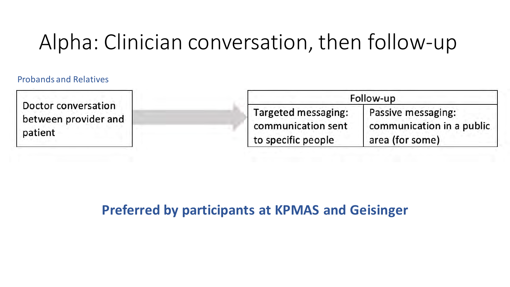### Alpha: Clinician conversation, then follow-up

#### Probands and Relatives

Doctor conversation between provider and patient

|                     | Follow-up                 |
|---------------------|---------------------------|
| Targeted messaging: | Passive messaging:        |
| communication sent  | communication in a public |
| to specific people  | area (for some)           |

#### **Preferred by participants at KPMAS and Geisinger**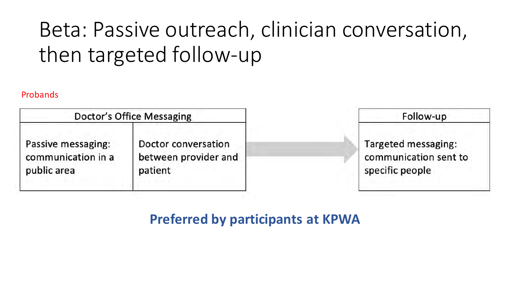## Beta: Passive outreach, clinician conversation, then targeted follow-up

#### Probands

|                    | Doctor's Office Messaging | Follow-up             |  |
|--------------------|---------------------------|-----------------------|--|
| Passive messaging: | Doctor conversation       | Targeted messaging:   |  |
| communication in a | between provider and      | communication sent to |  |
| public area        | patient                   | specific people       |  |

#### **Preferred by participants at KPWA**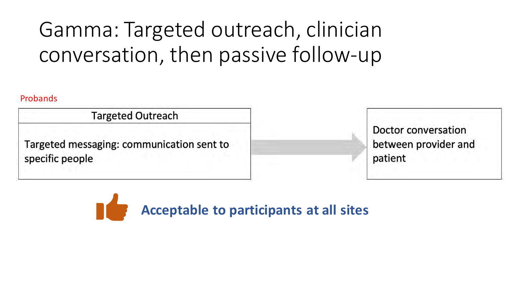# Gamma: Targeted outreach, clinician conversation, then passive follow-up

#### Probands

**Targeted Outreach** 

Targeted messaging: communication sent to specific people

Doctor conversation between provider and patient

**Acceptable to participants at all sites**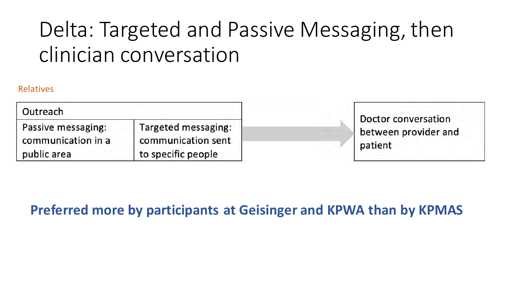## Delta: Targeted and Passive Messaging, then clinician conversation

#### Relatives

| Outreach           |                     |
|--------------------|---------------------|
| Passive messaging: | Targeted messaging: |
| communication in a | communication sent  |
| public area        | to specific people  |

**Doctor conversation** between provider and patient

#### **Preferred more by participants at Geisinger and KPWA than by KPMAS**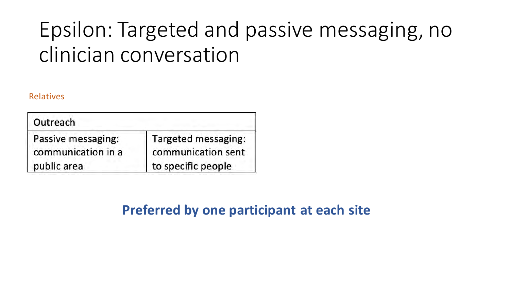### Epsilon: Targeted and passive messaging, no clinician conversation

#### Relatives

| Outreach           |                     |
|--------------------|---------------------|
| Passive messaging: | Targeted messaging: |
| communication in a | communication sent  |
| public area        | to specific people  |

**Preferred by one participant at each site**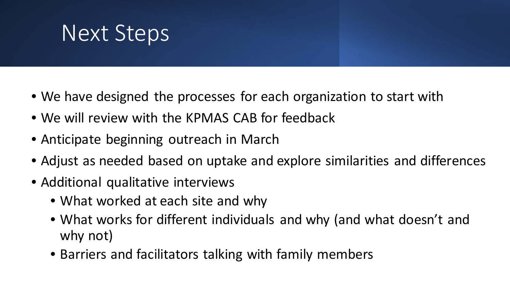# Next Steps

- We have designed the processes for each organization to start with
- We will review with the KPMAS CAB for feedback
- Anticipate beginning outreach in March
- Adjust as needed based on uptake and explore similarities and differences
- Additional qualitative interviews
	- What worked at each site and why
	- What works for different individuals and why (and what doesn't and why not)
	- Barriers and facilitators talking with family members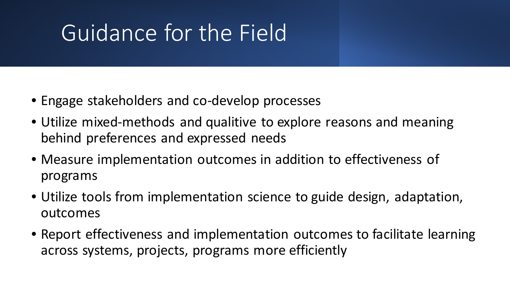# Guidance for the Field

- Engage stakeholders and co-develop processes
- Utilize mixed-methods and qualitive to explore reasons and meaning behind preferences and expressed needs
- Measure implementation outcomes in addition to effectiveness of programs
- Utilize tools from implementation science to guide design, adaptation, outcomes
- Report effectiveness and implementation outcomes to facilitate learning across systems, projects, programs more efficiently